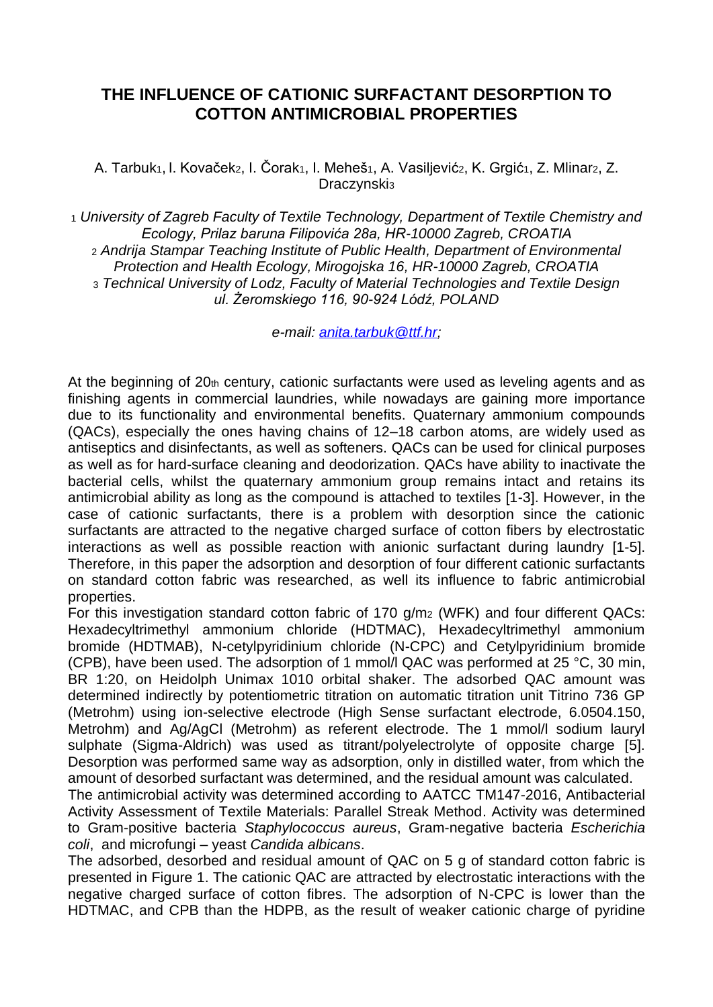## **THE INFLUENCE OF CATIONIC SURFACTANT DESORPTION TO COTTON ANTIMICROBIAL PROPERTIES**

A. Tarbuk<sub>1</sub>, I. Kovaček<sub>2</sub>, I. Čorak<sub>1</sub>, I. Meheš<sub>1</sub>, A. Vasiljević<sub>2</sub>, K. Grgić<sub>1</sub>, Z. Mlinar<sub>2</sub>, Z. Draczynski<sup>3</sup>

<sup>1</sup> *University of Zagreb Faculty of Textile Technology, Department of Textile Chemistry and Ecology, Prilaz baruna Filipovića 28a, HR-10000 Zagreb, CROATIA* <sup>2</sup> *Andrija Stampar Teaching Institute of Public Health, Department of Environmental Protection and Health Ecology, Mirogojska 16, HR-10000 Zagreb, CROATIA*  <sup>3</sup> *Technical University of Lodz, Faculty of Material Technologies and Textile Design ul. Żeromskiego 116, 90-924 Lódź, POLAND*

*e-mail: [anita.tarbuk@ttf.hr;](mailto:anita.tarbuk@ttf.hr)*

At the beginning of  $20<sub>th</sub>$  century, cationic surfactants were used as leveling agents and as finishing agents in commercial laundries, while nowadays are gaining more importance due to its functionality and environmental benefits. Quaternary ammonium compounds (QACs), especially the ones having chains of 12–18 carbon atoms, are widely used as antiseptics and disinfectants, as well as softeners. QACs can be used for clinical purposes as well as for hard-surface cleaning and deodorization. QACs have ability to inactivate the bacterial cells, whilst the quaternary ammonium group remains intact and retains its antimicrobial ability as long as the compound is attached to textiles [1-3]. However, in the case of cationic surfactants, there is a problem with desorption since the cationic surfactants are attracted to the negative charged surface of cotton fibers by electrostatic interactions as well as possible reaction with anionic surfactant during laundry [1-5]. Therefore, in this paper the adsorption and desorption of four different cationic surfactants on standard cotton fabric was researched, as well its influence to fabric antimicrobial properties.

For this investigation standard cotton fabric of 170 g/m<sup>2</sup> (WFK) and four different QACs: Hexadecyltrimethyl ammonium chloride (HDTMAC), Hexadecyltrimethyl ammonium bromide (HDTMAB), N-cetylpyridinium chloride (N-CPC) and Cetylpyridinium bromide (CPB), have been used. The adsorption of 1 mmol/l QAC was performed at 25 °C, 30 min, BR 1:20, on Heidolph Unimax 1010 orbital shaker. The adsorbed QAC amount was determined indirectly by potentiometric titration on automatic titration unit Titrino 736 GP (Metrohm) using ion-selective electrode (High Sense surfactant electrode, 6.0504.150, Metrohm) and Ag/AgCl (Metrohm) as referent electrode. The 1 mmol/l sodium lauryl sulphate (Sigma-Aldrich) was used as titrant/polyelectrolyte of opposite charge [5]. Desorption was performed same way as adsorption, only in distilled water, from which the amount of desorbed surfactant was determined, and the residual amount was calculated.

The antimicrobial activity was determined according to AATCC TM147-2016, Antibacterial Activity Assessment of Textile Materials: Parallel Streak Method. Activity was determined to Gram-positive bacteria *Staphylococcus aureus*, Gram-negative bacteria *Escherichia coli*, and microfungi – yeast *Candida albicans*.

The adsorbed, desorbed and residual amount of QAC on 5 g of standard cotton fabric is presented in Figure 1. The cationic QAC are attracted by electrostatic interactions with the negative charged surface of cotton fibres. The adsorption of N-CPC is lower than the HDTMAC, and CPB than the HDPB, as the result of weaker cationic charge of pyridine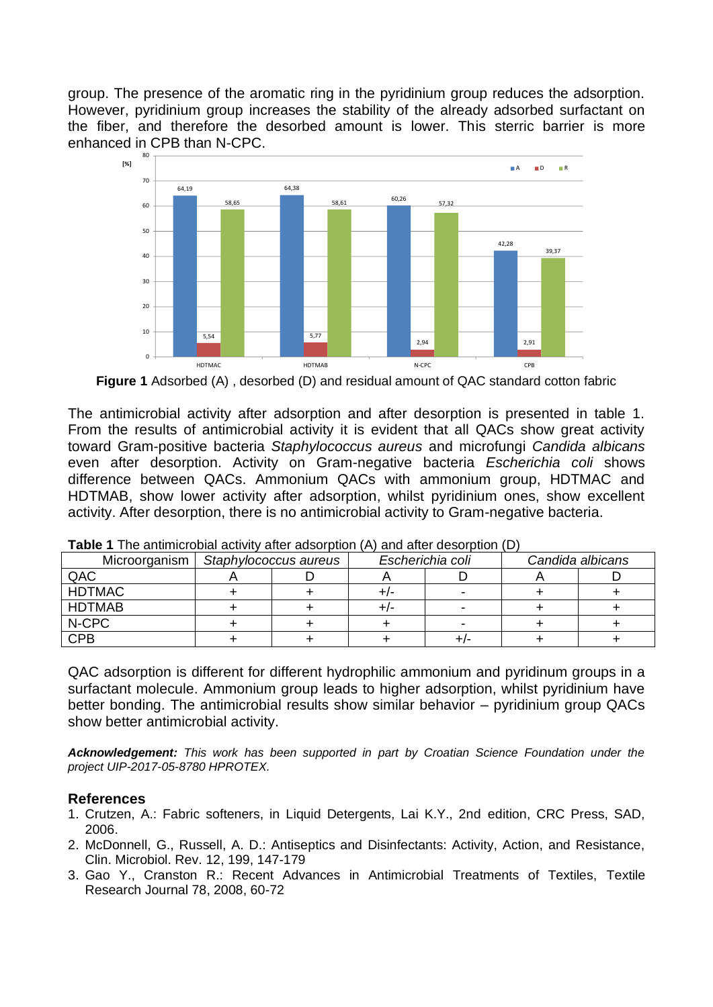group. The presence of the aromatic ring in the pyridinium group reduces the adsorption. However, pyridinium group increases the stability of the already adsorbed surfactant on the fiber, and therefore the desorbed amount is lower. This sterric barrier is more enhanced in CPB than N-CPC.



**Figure 1** Adsorbed (A) , desorbed (D) and residual amount of QAC standard cotton fabric

The antimicrobial activity after adsorption and after desorption is presented in table 1. From the results of antimicrobial activity it is evident that all QACs show great activity toward Gram-positive bacteria *Staphylococcus aureus* and microfungi *Candida albicans* even after desorption. Activity on Gram-negative bacteria *Escherichia coli* shows difference between QACs. Ammonium QACs with ammonium group, HDTMAC and HDTMAB, show lower activity after adsorption, whilst pyridinium ones, show excellent activity. After desorption, there is no antimicrobial activity to Gram-negative bacteria.

| Microorganism | Staphylococcus aureus |  | Escherichia coli |   | Candida albicans |  |
|---------------|-----------------------|--|------------------|---|------------------|--|
| QAC           |                       |  |                  |   |                  |  |
| <b>HDTMAC</b> |                       |  |                  |   |                  |  |
| <b>HDTMAB</b> |                       |  | +/-              |   |                  |  |
| N-CPC         |                       |  |                  | - |                  |  |
| <b>CPB</b>    |                       |  |                  |   |                  |  |

**Table 1** The antimicrobial activity after adsorption (A) and after desorption (D)

QAC adsorption is different for different hydrophilic ammonium and pyridinum groups in a surfactant molecule. Ammonium group leads to higher adsorption, whilst pyridinium have better bonding. The antimicrobial results show similar behavior – pyridinium group QACs show better antimicrobial activity.

*Acknowledgement: This work has been supported in part by Croatian Science Foundation under the project UIP-2017-05-8780 HPROTEX.*

## **References**

- 1. Crutzen, A.: Fabric softeners, in Liquid Detergents, Lai K.Y., 2nd edition, CRC Press, SAD, 2006.
- 2. McDonnell, G., Russell, A. D.: Antiseptics and Disinfectants: Activity, Action, and Resistance, Clin. Microbiol. Rev. 12, 199, 147-179
- 3. Gao Y., Cranston R.: Recent Advances in Antimicrobial Treatments of Textiles, Textile Research Journal 78, 2008, 60-72